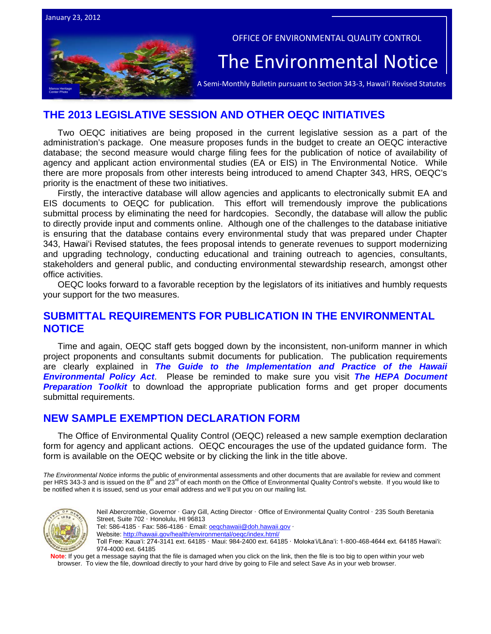

# **THE 2013 LEGISLATIVE SESSION AND OTHER OEQC INITIATIVES**

Two OEQC initiatives are being proposed in the current legislative session as a part of the administration's package. One measure proposes funds in the budget to create an OEQC interactive database; the second measure would charge filing fees for the publication of notice of availability of agency and applicant action environmental studies (EA or EIS) in The Environmental Notice. While there are more proposals from other interests being introduced to amend Chapter 343, HRS, OEQC's priority is the enactment of these two initiatives.

Firstly, the interactive database will allow agencies and applicants to electronically submit EA and EIS documents to OEQC for publication. This effort will tremendously improve the publications submittal process by eliminating the need for hardcopies. Secondly, the database will allow the public to directly provide input and comments online. Although one of the challenges to the database initiative is ensuring that the database contains every environmental study that was prepared under Chapter 343, Hawaiʻi Revised statutes, the fees proposal intends to generate revenues to support modernizing and upgrading technology, conducting educational and training outreach to agencies, consultants, stakeholders and general public, and conducting environmental stewardship research, amongst other office activities.

OEQC looks forward to a favorable reception by the legislators of its initiatives and humbly requests your support for the two measures.

# **[SUBMITTAL](http://oeqc.doh.hawaii.gov/Shared%20Documents/Preparation_of_Hawaii_Environmental_Policy_Act_Documents/3_-_ADMINISTRATIVE_EXEMPTION_DECLARATIONS_UNDER_SECTION_11_200_8_HAWAII_ADMINISTRATIVE_RULES/2012%20Sample%20Exemption%20Declaration%20for%20Agency%20and%20Applicant%20Actions.pdf) REQUIREMENTS FOR PUBLICATION IN THE ENVIRONMENTAL NOTICE**

Time and again, OEQC staff gets bogged down by the inconsistent, non-uniform manner in which project proponents and consultants submit documents for publication. The publication requirements are clearly explained in *[The Guide to the Implementation and Practice of the Hawaii](http://oeqc.doh.hawaii.gov/Shared%20Documents/Misc_Documents/Guide%20to%20the%20Implementation%20and%20Practice%20of%20the%20HEPA.pdf)  [Environmental Policy Act](http://oeqc.doh.hawaii.gov/Shared%20Documents/Misc_Documents/Guide%20to%20the%20Implementation%20and%20Practice%20of%20the%20HEPA.pdf)*. Please be reminded to make sure you visit *[The HEPA Document](http://oeqc.doh.hawaii.gov/Shared%20Documents/Forms/AllItems.aspx?RootFolder=%2fShared%20Documents%2fPreparation%5fof%5fHawaii%5fEnvironmental%5fPolicy%5fAct%5fDocuments&View=%7bC0C5C897%2d3066%2d4821%2d864E%2d36FB3D77F5D5%7d)* **[Preparation Toolkit](http://oeqc.doh.hawaii.gov/Shared%20Documents/Forms/AllItems.aspx?RootFolder=%2fShared%20Documents%2fPreparation%5fof%5fHawaii%5fEnvironmental%5fPolicy%5fAct%5fDocuments&View=%7bC0C5C897%2d3066%2d4821%2d864E%2d36FB3D77F5D5%7d)** to download the appropriate publication forms and get proper documents submittal requirements.

# **[NEW SAMPLE EXEMPTION DECLARATION FORM](http://oeqc.doh.hawaii.gov/Shared%20Documents/Preparation_of_Hawaii_Environmental_Policy_Act_Documents/3_-_ADMINISTRATIVE_EXEMPTION_DECLARATIONS_UNDER_SECTION_11_200_8_HAWAII_ADMINISTRATIVE_RULES/2012%20Sample%20Exemption%20Declaration%20for%20Agency%20and%20Applicant%20Actions.pdf)**

The Office of Environmental Quality Control (OEQC) released a new sample exemption declaration form for agency and applicant actions. OEQC encourages the use of the updated guidance form. The form is available on the OEQC website or by clicking the link in the title above.

*The Environmental Notice* informs the public of environmental assessments and other documents that are available for review and comment per HRS 343-3 and is issued on the 8<sup>th</sup> and 23<sup>rd</sup> of each month on the Office of Environmental Quality Control's website. If you would like to be notified when it is issued, send us your email address and we'll put you on our mailing list.



Neil Abercrombie, Governor · Gary Gill, Acting Director · Office of Environmental Quality Control · 235 South Beretania Street, Suite 702 · Honolulu, HI 96813 Tel: 586-4185 · Fax: 586-4186 · Email[: oeqchawaii@doh.hawaii.gov](mailto:oeqchawaii@doh.hawaii.gov) ·

Website:<http://hawaii.gov/health/environmental/oeqc/index.html/>

Toll Free: Kauaʻi: 274-3141 ext. 64185 · Maui: 984-2400 ext. 64185 · Molokaʻi/Lānaʻi: 1-800-468-4644 ext. 64185 Hawaiʻi: 974-4000 ext. 64185

Note: If you get a message saying that the file is damaged when you click on the link, then the file is too big to open within your web browser. To view the file, download directly to your hard drive by going to File and select Save As in your web browser.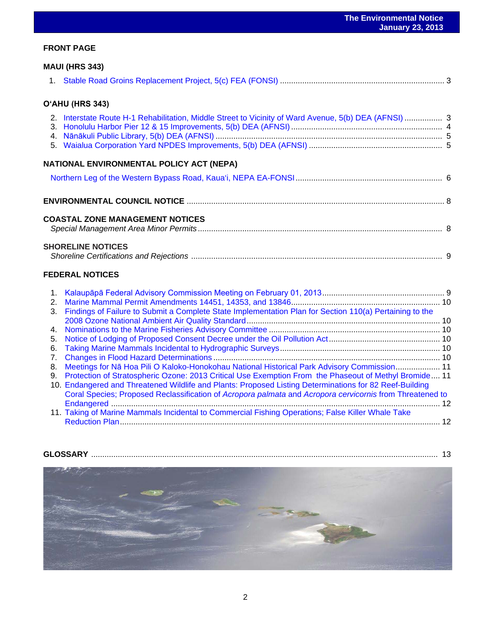# **FRONT PAGE**

# **MAUI (HRS 343)**

| O'AHU (HRS 343)                                                                                       |  |
|-------------------------------------------------------------------------------------------------------|--|
| 2. Interstate Route H-1 Rehabilitation, Middle Street to Vicinity of Ward Avenue, 5(b) DEA (AFNSI)  3 |  |
| NATIONAL ENVIRONMENTAL POLICY ACT (NEPA)                                                              |  |
|                                                                                                       |  |
|                                                                                                       |  |
| <b>COASTAL ZONE MANAGEMENT NOTICES</b>                                                                |  |
| <b>SHORELINE NOTICES</b>                                                                              |  |
| <b>FEDERAL NOTICES</b>                                                                                |  |
|                                                                                                       |  |

|    | 3. Findings of Failure to Submit a Complete State Implementation Plan for Section 110(a) Pertaining to the |  |
|----|------------------------------------------------------------------------------------------------------------|--|
|    |                                                                                                            |  |
|    |                                                                                                            |  |
|    |                                                                                                            |  |
| 6. |                                                                                                            |  |
|    |                                                                                                            |  |
|    | 8. Meetings for Nā Hoa Pili O Kaloko-Honokohau National Historical Park Advisory Commission 11             |  |
|    | 9. Protection of Stratospheric Ozone: 2013 Critical Use Exemption From the Phaseout of Methyl Bromide 11   |  |
|    | 10. Endangered and Threatened Wildlife and Plants: Proposed Listing Determinations for 82 Reef-Building    |  |
|    | Coral Species; Proposed Reclassification of Acropora palmata and Acropora cervicornis from Threatened to   |  |
|    |                                                                                                            |  |
|    | 11. Taking of Marine Mammals Incidental to Commercial Fishing Operations; False Killer Whale Take          |  |
|    |                                                                                                            |  |
|    |                                                                                                            |  |

| <b>GLOSSARY</b> |  |  |
|-----------------|--|--|
|-----------------|--|--|

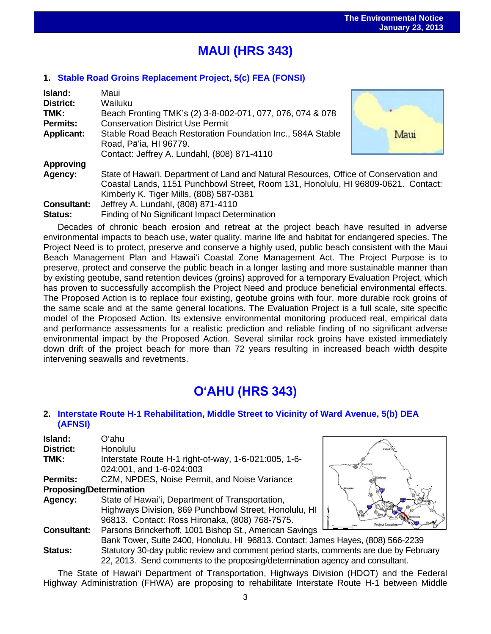# ֖֖֧֧֧֪֪֪֪֪֪֪֦֧֚֚֚֚֚֚֚֚֚֚֚֚֚֚֚֚֚֚֚֬֡֡֡֡֬֝֬֝֓֝ **MAUI (HRS 343)**

## **1. Stable [Road Groins Replacement Project,](http://oeqc.doh.hawaii.gov/Shared%20Documents/EA_and_EIS_Online_Library/Maui/2010s/2013-01-23-FEA-5C-Stable-Road-Groins-Replacement-Project.pdf) 5(c) FEA (FONSI)**

| Island:            | Maui                                                                                   |      |  |  |
|--------------------|----------------------------------------------------------------------------------------|------|--|--|
| District:          | Wailuku                                                                                |      |  |  |
| TMK:               | Beach Fronting TMK's (2) 3-8-002-071, 077, 076, 074 & 078                              |      |  |  |
| <b>Permits:</b>    | <b>Conservation District Use Permit</b>                                                |      |  |  |
| <b>Applicant:</b>  | Stable Road Beach Restoration Foundation Inc., 584A Stable                             | Maui |  |  |
|                    | Road, Pā'ia, HI 96779.                                                                 |      |  |  |
|                    | Contact: Jeffrey A. Lundahl, (808) 871-4110                                            |      |  |  |
| <b>Approving</b>   |                                                                                        |      |  |  |
| Agency:            | State of Hawai'i, Department of Land and Natural Resources, Office of Conservation and |      |  |  |
|                    | Coastal Lands, 1151 Punchbowl Street, Room 131, Honolulu, HI 96809-0621. Contact:      |      |  |  |
|                    | Kimberly K. Tiger Mills, (808) 587-0381                                                |      |  |  |
| <b>Consultant:</b> | Jeffrey A. Lundahl, (808) 871-4110                                                     |      |  |  |
| <b>Status:</b>     | Finding of No Significant Impact Determination                                         |      |  |  |

Decades of chronic beach erosion and retreat at the project beach have resulted in adverse environmental impacts to beach use, water quality, marine life and habitat for endangered species. The Project Need is to protect, preserve and conserve a highly used, public beach consistent with the Maui Beach Management Plan and Hawaiʻi Coastal Zone Management Act. The Project Purpose is to preserve, protect and conserve the public beach in a longer lasting and more sustainable manner than by existing geotube, sand retention devices (groins) approved for a temporary Evaluation Project, which has proven to successfully accomplish the Project Need and produce beneficial environmental effects. The Proposed Action is to replace four existing, geotube groins with four, more durable rock groins of the same scale and at the same general locations. The Evaluation Project is a full scale, site specific model of the Proposed Action. Its extensive environmental monitoring produced real, empirical data and performance assessments for a realistic prediction and reliable finding of no significant adverse environmental impact by the Proposed Action. Several similar rock groins have existed immediately down drift of the project beach for more than 72 years resulting in increased beach width despite intervening seawalls and revetments.

# **OʻAHU (HRS 343)**

## **2. [Interstate Route H-1 Rehabilitation, Middle Street to Vicinity of Ward Avenue,](http://oeqc.doh.hawaii.gov/Shared%20Documents/EA_and_EIS_Online_Library/Oahu/2010s/2013-01-23-DEA-5B-Interstate-Route-H-1-Rehabilitation.pdf) 5(b) DEA [\(AFNSI\)](http://oeqc.doh.hawaii.gov/Shared%20Documents/EA_and_EIS_Online_Library/Oahu/2010s/2013-01-23-DEA-5B-Interstate-Route-H-1-Rehabilitation.pdf)**

| Island:                        | Oʻahu                                                                               |             |
|--------------------------------|-------------------------------------------------------------------------------------|-------------|
|                                |                                                                                     |             |
| District:                      | Honolulu                                                                            | Kahuki      |
| TMK:                           | Interstate Route H-1 right-of-way, 1-6-021:005, 1-6-                                | Haleiwa     |
|                                | 024:001, and 1-6-024:003                                                            |             |
| <b>Permits:</b>                | CZM, NPDES, Noise Permit, and Noise Variance                                        |             |
| <b>Proposing/Determination</b> |                                                                                     | Wajana<br>Œ |
| Agency:                        | State of Hawai'i, Department of Transportation,                                     |             |
|                                | Highways Division, 869 Punchbowl Street, Honolulu, HI                               |             |
|                                | 96813. Contact: Ross Hironaka, (808) 768-7575.                                      |             |
| <b>Consultant:</b>             | Parsons Brinckerhoff, 1001 Bishop St., American Savings                             |             |
|                                | Bank Tower, Suite 2400, Honolulu, HI 96813. Contact: James Hayes, (808) 566-2239    |             |
| <b>Status:</b>                 | Statutory 30-day public review and comment period starts, comments are due by Febre |             |
|                                | 22, 2013. Send comments to the proposing/determination agency and consultant.       |             |

The State of Hawaiʻi Department of Transportation, Highways Division (HDOT) and the Federal Highway Administration (FHWA) are proposing to rehabilitate Interstate Route H-1 between Middle



comments are due by February

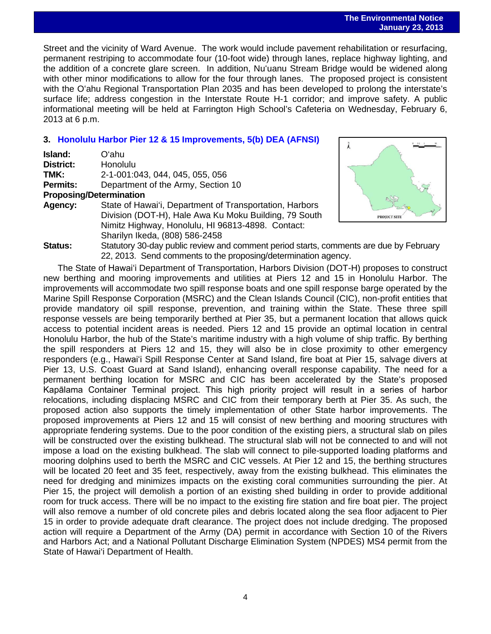#### **The Environmental Notice January 23, 2013**

 Street and the vicinity of Ward Avenue. The work would include pavement rehabilitation or resurfacing, permanent restriping to accommodate four (10-foot wide) through lanes, replace highway lighting, and the addition of a concrete glare screen. In addition, Nuʻuanu Stream Bridge would be widened along with other minor modifications to allow for the four through lanes. The proposed project is consistent with the O'ahu Regional Transportation Plan 2035 and has been developed to prolong the interstate's surface life; address congestion in the Interstate Route H-1 corridor; and improve safety. A public informational meeting will be held at Farrington High School's Cafeteria on Wednesday, February 6, 2013 at 6 p.m.

## **3. [Honolulu Harbor Pier 12 & 15](http://oeqc.doh.hawaii.gov/Shared%20Documents/EA_and_EIS_Online_Library/Oahu/2010s/2013-01-23-DEA-5B-Honolulu-Harbor-Pier-12-15-Improvements.pdf) Improvements, 5(b) DEA (AFNSI)**

| Island:                                                            | Oʻahu                                                 |  |  |  |  |
|--------------------------------------------------------------------|-------------------------------------------------------|--|--|--|--|
| District:                                                          | Honolulu                                              |  |  |  |  |
| TMK:                                                               | 2-1-001:043, 044, 045, 055, 056                       |  |  |  |  |
| <b>Permits:</b>                                                    | Department of the Army, Section 10                    |  |  |  |  |
| <b>Proposing/Determination</b>                                     |                                                       |  |  |  |  |
| State of Hawai'i, Department of Transportation, Harbors<br>Agency: |                                                       |  |  |  |  |
|                                                                    | Division (DOT-H), Hale Awa Ku Moku Building, 79 South |  |  |  |  |
|                                                                    | Nimitz Highway, Honolulu, HI 96813-4898. Contact:     |  |  |  |  |
|                                                                    | Sharilyn Ikeda, (808) 586-2458                        |  |  |  |  |



**Status:** Statutory 30-day public review and comment period starts, comments are due by February 22, 2013. Send comments to the proposing/determination agency.

The State of Hawaiʻi Department of Transportation, Harbors Division (DOT-H) proposes to construct new berthing and mooring improvements and utilities at Piers 12 and 15 in Honolulu Harbor. The improvements will accommodate two spill response boats and one spill response barge operated by the Marine Spill Response Corporation (MSRC) and the Clean Islands Council (CIC), non-profit entities that provide mandatory oil spill response, prevention, and training within the State. These three spill response vessels are being temporarily berthed at Pier 35, but a permanent location that allows quick access to potential incident areas is needed. Piers 12 and 15 provide an optimal location in central Honolulu Harbor, the hub of the State's maritime industry with a high volume of ship traffic. By berthing the spill responders at Piers 12 and 15, they will also be in close proximity to other emergency responders (e.g., Hawaiʻi Spill Response Center at Sand Island, fire boat at Pier 15, salvage divers at Pier 13, U.S. Coast Guard at Sand Island), enhancing overall response capability. The need for a permanent berthing location for MSRC and CIC has been accelerated by the State's proposed Kapālama Container Terminal project. This high priority project will result in a series of harbor relocations, including displacing MSRC and CIC from their temporary berth at Pier 35. As such, the proposed action also supports the timely implementation of other State harbor improvements. The proposed improvements at Piers 12 and 15 will consist of new berthing and mooring structures with appropriate fendering systems. Due to the poor condition of the existing piers, a structural slab on piles will be constructed over the existing bulkhead. The structural slab will not be connected to and will not impose a load on the existing bulkhead. The slab will connect to pile-supported loading platforms and mooring dolphins used to berth the MSRC and CIC vessels. At Pier 12 and 15, the berthing structures will be located 20 feet and 35 feet, respectively, away from the existing bulkhead. This eliminates the need for dredging and minimizes impacts on the existing coral communities surrounding the pier. At Pier 15, the project will demolish a portion of an existing shed building in order to provide additional room for truck access. There will be no impact to the existing fire station and fire boat pier. The project will also remove a number of old concrete piles and debris located along the sea floor adjacent to Pier 15 in order to provide adequate draft clearance. The project does not include dredging. The proposed action will require a Department of the Army (DA) permit in accordance with Section 10 of the Rivers and Harbors Act; and a National Pollutant Discharge Elimination System (NPDES) MS4 permit from the State of Hawai'i Department of Health.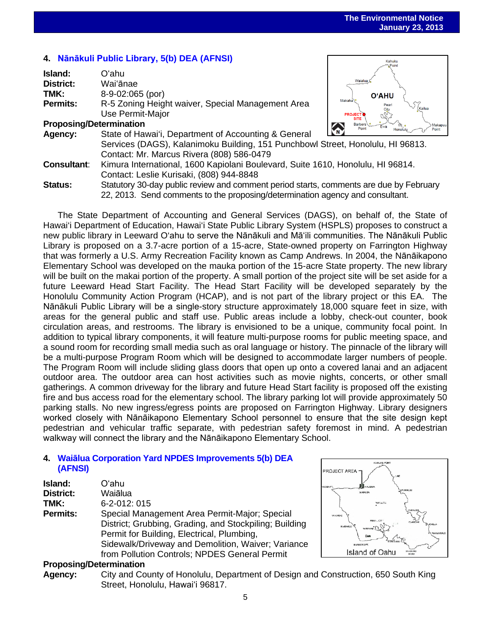Kahuku

# **4. [Nānākuli Public Library](http://oeqc.doh.hawaii.gov/Shared%20Documents/EA_and_EIS_Online_Library/Oahu/2010s/2013-01-23-DEA-5B-Nanakuli-Public-Library.pdf), 5(b) DEA (AFNSI)**

| Island:                        | Oʻahu                                                                                  |                                           |
|--------------------------------|----------------------------------------------------------------------------------------|-------------------------------------------|
| District:                      | Wai'ānae                                                                               | Waialua                                   |
| TMK:                           | 8-9-02:065 (por)                                                                       | <b>O'AHU</b>                              |
| <b>Permits:</b>                | R-5 Zoning Height waiver, Special Management Area                                      | Makaha<br>Pear                            |
|                                | Use Permit-Major                                                                       | <b>PROJECT</b><br><b>SITE</b>             |
| <b>Proposing/Determination</b> |                                                                                        | Barbers<br>Makar<br>Ewa<br>Point<br>Point |
| Agency:                        | State of Hawai'i, Department of Accounting & General                                   |                                           |
|                                | Services (DAGS), Kalanimoku Building, 151 Punchbowl Street, Honolulu, HI 96813.        |                                           |
|                                | Contact: Mr. Marcus Rivera (808) 586-0479                                              |                                           |
| <b>Consultant:</b>             | Kimura International, 1600 Kapiolani Boulevard, Suite 1610, Honolulu, HI 96814.        |                                           |
|                                | Contact: Leslie Kurisaki, (808) 944-8848                                               |                                           |
| <b>Status:</b>                 | Statutory 30-day public review and comment period starts, comments are due by February |                                           |
|                                | 22, 2013. Send comments to the proposing/determination agency and consultant.          |                                           |

The State Department of Accounting and General Services (DAGS), on behalf of, the State of Hawai'i Department of Education, Hawai'i State Public Library System (HSPLS) proposes to construct a new public library in Leeward O'ahu to serve the Nānākuli and Mā'ili communities. The Nānākuli Public Library is proposed on a 3.7-acre portion of a 15-acre, State-owned property on Farrington Highway that was formerly a U.S. Army Recreation Facility known as Camp Andrews. In 2004, the Nānāikapono Elementary School was developed on the mauka portion of the 15-acre State property. The new library will be built on the makai portion of the property. A small portion of the project site will be set aside for a future Leeward Head Start Facility. The Head Start Facility will be developed separately by the Honolulu Community Action Program (HCAP), and is not part of the library project or this EA. The Nānākuli Public Library will be a single-story structure approximately 18,000 square feet in size, with areas for the general public and staff use. Public areas include a lobby, check-out counter, book circulation areas, and restrooms. The library is envisioned to be a unique, community focal point. In addition to typical library components, it will feature multi-purpose rooms for public meeting space, and a sound room for recording small media such as oral language or history. The pinnacle of the library will be a multi-purpose Program Room which will be designed to accommodate larger numbers of people. The Program Room will include sliding glass doors that open up onto a covered lanai and an adjacent outdoor area. The outdoor area can host activities such as movie nights, concerts, or other small gatherings. A common driveway for the library and future Head Start facility is proposed off the existing fire and bus access road for the elementary school. The library parking lot will provide approximately 50 parking stalls. No new ingress/egress points are proposed on Farrington Highway. Library designers worked closely with Nānāikapono Elementary School personnel to ensure that the site design kept pedestrian and vehicular traffic separate, with pedestrian safety foremost in mind. A pedestrian walkway will connect the library and the Nānāikapono Elementary School.

## **4. Waiā[lua Corporation Yard NPDES Improvements 5\(b\) DEA](http://oeqc.doh.hawaii.gov/Shared%20Documents/EA_and_EIS_Online_Library/Oahu/2010s/2013-01-23-DEA-5B-Waialua-Corporation-Yard-NPDES-Improvements.pdf)  [\(AFNSI\)](http://oeqc.doh.hawaii.gov/Shared%20Documents/EA_and_EIS_Online_Library/Oahu/2010s/2013-01-23-DEA-5B-Waialua-Corporation-Yard-NPDES-Improvements.pdf)**

| Island:         | Oʻahu                                                  |
|-----------------|--------------------------------------------------------|
| District:       | Waiālua                                                |
| TMK:            | 6-2-012: 015                                           |
| <b>Permits:</b> | Special Management Area Permit-Major; Special          |
|                 | District; Grubbing, Grading, and Stockpiling; Building |
|                 | Permit for Building, Electrical, Plumbing,             |
|                 | Sidewalk/Driveway and Demolition, Waiver; Variance     |
|                 | from Pollution Controls; NPDES General Permit          |



# **Proposing/Determination**

**Agency:** City and County of Honolulu, Department of Design and Construction, 650 South King Street, Honolulu, Hawaiʻi 96817.

5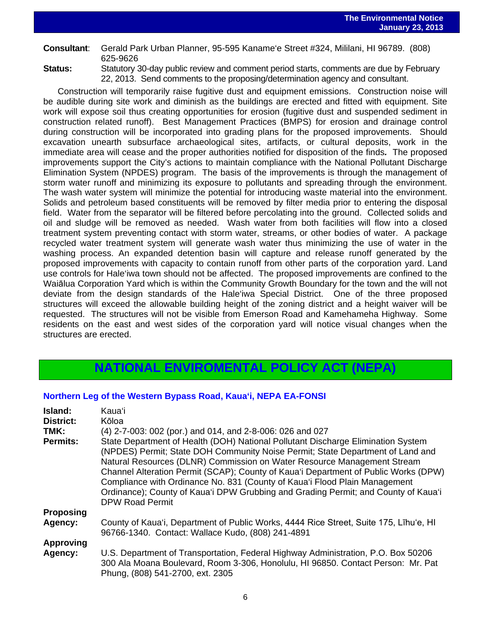# **Consultant**: Gerald Park Urban Planner, 95-595 Kaname'e Street #324, Mililani, HI 96789. (808) 625-9626

**Status:** Statutory 30-day public review and comment period starts, comments are due by February 22, 2013. Send comments to the proposing/determination agency and consultant.

Construction will temporarily raise fugitive dust and equipment emissions. Construction noise will be audible during site work and diminish as the buildings are erected and fitted with equipment. Site work will expose soil thus creating opportunities for erosion (fugitive dust and suspended sediment in construction related runoff). Best Management Practices (BMPS) for erosion and drainage control during construction will be incorporated into grading plans for the proposed improvements. Should excavation unearth subsurface archaeological sites, artifacts, or cultural deposits, work in the immediate area will cease and the proper authorities notified for disposition of the finds*.* The proposed improvements support the City's actions to maintain compliance with the National Pollutant Discharge Elimination System (NPDES) program. The basis of the improvements is through the management of storm water runoff and minimizing its exposure to pollutants and spreading through the environment. The wash water system will minimize the potential for introducing waste material into the environment. Solids and petroleum based constituents will be removed by filter media prior to entering the disposal field. Water from the separator will be filtered before percolating into the ground. Collected solids and oil and sludge will be removed as needed. Wash water from both facilities will flow into a closed treatment system preventing contact with storm water, streams, or other bodies of water. A package recycled water treatment system will generate wash water thus minimizing the use of water in the washing process. An expanded detention basin will capture and release runoff generated by the proposed improvements with capacity to contain runoff from other parts of the corporation yard. Land use controls for Hale'iwa town should not be affected. The proposed improvements are confined to the Waiālua Corporation Yard which is within the Community Growth Boundary for the town and the will not deviate from the design standards of the Hale'iwa Special District. One of the three proposed structures will exceed the allowable building height of the zoning district and a height waiver will be requested. The structures will not be visible from Emerson Road and Kamehameha Highway. Some residents on the east and west sides of the corporation yard will notice visual changes when the structures are erected.

# **NATIONAL ENVIROMENTAL POLICY ACT (NEPA)**

## **Island:** Kaua'i **District:** Kōloa<br>**TMK:** (4) 2-7 **TMK:** (4) 2-7-003: 002 (por.) and 014, and 2-8-006: 026 and 027<br>**Permits:** State Department of Health (DOH) National Pollutant Disch **Permits:** State Department of Health (DOH) National Pollutant Discharge Elimination System (NPDES) Permit; State DOH Community Noise Permit; State Department of Land and Natural Resources (DLNR) Commission on Water Resource Management Stream Channel Alteration Permit (SCAP); County of Kaua'i Department of Public Works (DPW) Compliance with Ordinance No. 831 (County of Kaua'i Flood Plain Management Ordinance); County of Kaua'i DPW Grubbing and Grading Permit; and County of Kaua'i DPW Road Permit **Proposing Agency:** County of Kaua'i, Department of Public Works, 4444 Rice Street, Suite 175, Līhu'e, HI 96766-1340. Contact: Wallace Kudo, (808) 241-4891 **Approving Agency:** U.S. Department of Transportation, Federal Highway Administration, P.O. Box 50206 300 Ala Moana Boulevard, Room 3-306, Honolulu, HI 96850. Contact Person: Mr. Pat Phung, (808) 541-2700, ext. 2305

## **[Northern Leg of the Western Bypass Road, Kaua'i,](http://oeqc.doh.hawaii.gov/Shared%20Documents/EA_and_EIS_Online_Library/NEPA%20and%20Other%20Documents/2013-01-23-NEPA-Nothern-Leg-of-Western-Bypass-Road.pdf) NEPA EA-FONSI**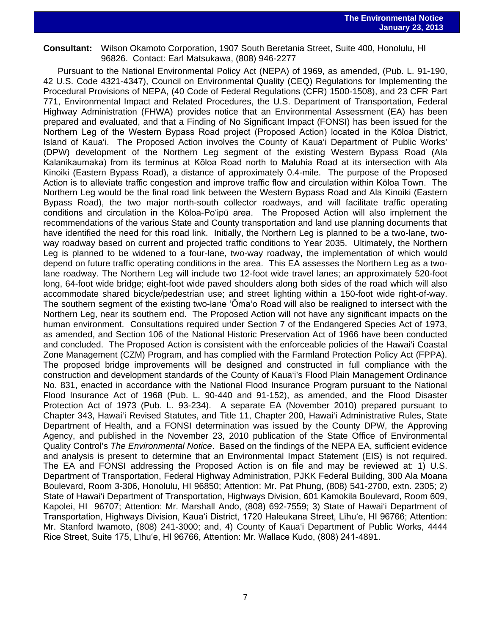**Consultant:** Wilson Okamoto Corporation, 1907 South Beretania Street, Suite 400, Honolulu, HI 96826. Contact: Earl Matsukawa, (808) 946-2277

Pursuant to the National Environmental Policy Act (NEPA) of 1969, as amended, (Pub. L. 91-190, 42 U.S. Code 4321-4347), Council on Environmental Quality (CEQ) Regulations for Implementing the Procedural Provisions of NEPA, (40 Code of Federal Regulations (CFR) 1500-1508), and 23 CFR Part 771, Environmental Impact and Related Procedures, the U.S. Department of Transportation, Federal Highway Administration (FHWA) provides notice that an Environmental Assessment (EA) has been prepared and evaluated, and that a Finding of No Significant Impact (FONSI) has been issued for the Northern Leg of the Western Bypass Road project (Proposed Action) located in the Kōloa District, Island of Kaua'i. The Proposed Action involves the County of Kaua'i Department of Public Works' (DPW) development of the Northern Leg segment of the existing Western Bypass Road (Ala Kalanikaumaka) from its terminus at Kōloa Road north to Maluhia Road at its intersection with Ala Kinoiki (Eastern Bypass Road), a distance of approximately 0.4-mile. The purpose of the Proposed Action is to alleviate traffic congestion and improve traffic flow and circulation within Kōloa Town. The Northern Leg would be the final road link between the Western Bypass Road and Ala Kinoiki (Eastern Bypass Road), the two major north-south collector roadways, and will facilitate traffic operating conditions and circulation in the Kōloa-Po'ipū area. The Proposed Action will also implement the recommendations of the various State and County transportation and land use planning documents that have identified the need for this road link. Initially, the Northern Leg is planned to be a two-lane, twoway roadway based on current and projected traffic conditions to Year 2035. Ultimately, the Northern Leg is planned to be widened to a four-lane, two-way roadway, the implementation of which would depend on future traffic operating conditions in the area. This EA assesses the Northern Leg as a twolane roadway. The Northern Leg will include two 12-foot wide travel lanes; an approximately 520-foot long, 64-foot wide bridge; eight-foot wide paved shoulders along both sides of the road which will also accommodate shared bicycle/pedestrian use; and street lighting within a 150-foot wide right-of-way. The southern segment of the existing two-lane 'Ōma'o Road will also be realigned to intersect with the Northern Leg, near its southern end. The Proposed Action will not have any significant impacts on the human environment. Consultations required under Section 7 of the Endangered Species Act of 1973, as amended, and Section 106 of the National Historic Preservation Act of 1966 have been conducted and concluded. The Proposed Action is consistent with the enforceable policies of the Hawai'i Coastal Zone Management (CZM) Program, and has complied with the Farmland Protection Policy Act (FPPA). The proposed bridge improvements will be designed and constructed in full compliance with the construction and development standards of the County of Kaua'i's Flood Plain Management Ordinance No. 831, enacted in accordance with the National Flood Insurance Program pursuant to the National Flood Insurance Act of 1968 (Pub. L. 90-440 and 91-152), as amended, and the Flood Disaster Protection Act of 1973 (Pub. L. 93-234). A separate EA (November 2010) prepared pursuant to Chapter 343, Hawai'i Revised Statutes, and Title 11, Chapter 200, Hawai'i Administrative Rules, State Department of Health, and a FONSI determination was issued by the County DPW, the Approving Agency, and published in the November 23, 2010 publication of the State Office of Environmental Quality Control's *The Environmental Notice*. Based on the findings of the NEPA EA, sufficient evidence and analysis is present to determine that an Environmental Impact Statement (EIS) is not required. The EA and FONSI addressing the Proposed Action is on file and may be reviewed at: 1) U.S. Department of Transportation, Federal Highway Administration, PJKK Federal Building, 300 Ala Moana Boulevard, Room 3-306, Honolulu, HI 96850; Attention: Mr. Pat Phung, (808) 541-2700, extn. 2305; 2) State of Hawai'i Department of Transportation, Highways Division, 601 Kamokila Boulevard, Room 609, Kapolei, HI 96707; Attention: Mr. Marshall Ando, (808) 692-7559; 3) State of Hawai'i Department of Transportation, Highways Division, Kaua'i District, 1720 Haleukana Street, Līhu'e, HI 96766; Attention: Mr. Stanford Iwamoto, (808) 241-3000; and, 4) County of Kaua'i Department of Public Works, 4444 Rice Street, Suite 175, Līhu'e, HI 96766, Attention: Mr. Wallace Kudo, (808) 241-4891.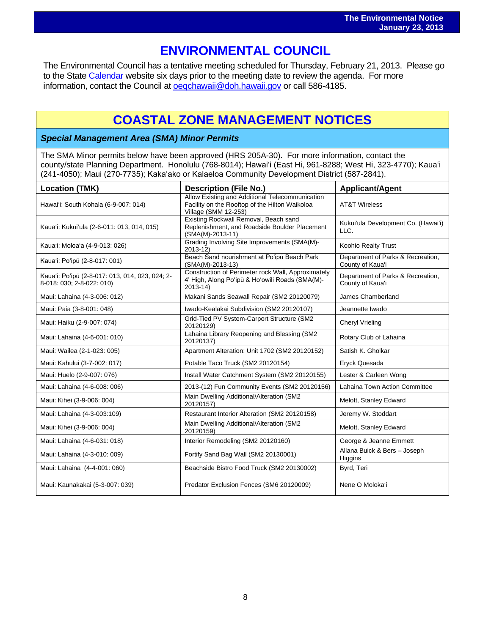# $\overline{\phantom{a}}$ **ENVIRONMENTAL COUNCIL**

The Environmental Council has a tentative meeting scheduled for Thursday, February 21, 2013. Please go to the Stat[e Calendar](http://calendar.ehawaii.gov/calendar/html/event) website six days prior to the meeting date to review the agenda. For more information, contact the Council at [oeqchawaii@doh.hawaii.gov](mailto:oeqchawaii@doh.hawaii.gov) or call 586-4185.

# **COASTAL ZONE MANAGEMENT NOTICES**

*Special Management Area (SMA) Minor Permits*

The SMA Minor permits below have been approved (HRS 205A-30). For more information, contact the county/state Planning Department. Honolulu (768-8014); Hawaiʻi (East Hi, 961-8288; West Hi, 323-4770); Kauaʻi (241-4050); Maui (270-7735); Kakaʻako or Kalaeloa Community Development District (587-2841).

| <b>Location (TMK)</b>                                                        | <b>Description (File No.)</b>                                                                                             | <b>Applicant/Agent</b>                                |
|------------------------------------------------------------------------------|---------------------------------------------------------------------------------------------------------------------------|-------------------------------------------------------|
| Hawai'i: South Kohala (6-9-007: 014)                                         | Allow Existing and Additional Telecommunication<br>Facility on the Rooftop of the Hilton Waikoloa<br>Village (SMM 12-253) | <b>AT&amp;T Wireless</b>                              |
| Kaua'i: Kukui'ula (2-6-011: 013, 014, 015)                                   | Existing Rockwall Removal, Beach sand<br>Replenishment, and Roadside Boulder Placement<br>(SMA(M)-2013-11)                | Kukui'ula Development Co. (Hawai'i)<br>LLC.           |
| Kaua'i: Moloa'a (4-9-013: 026)                                               | Grading Involving Site Improvements (SMA(M)-<br>$2013 - 12$                                                               | Koohio Realty Trust                                   |
| Kaua'i: Po'ipū (2-8-017: 001)                                                | Beach Sand nourishment at Po'ipū Beach Park<br>$(SMA(M)-2013-13)$                                                         | Department of Parks & Recreation,<br>County of Kaua'i |
| Kaua'i: Po'ipū (2-8-017: 013, 014, 023, 024; 2-<br>8-018: 030; 2-8-022: 010) | Construction of Perimeter rock Wall, Approximately<br>4' High, Along Po'ipū & Ho'owili Roads (SMA(M)-<br>$2013 - 14$      | Department of Parks & Recreation,<br>County of Kaua'i |
| Maui: Lahaina (4-3-006: 012)                                                 | Makani Sands Seawall Repair (SM2 20120079)                                                                                | James Chamberland                                     |
| Maui: Paia (3-8-001: 048)                                                    | Iwado-Kealakai Subdivision (SM2 20120107)                                                                                 | Jeannette Iwado                                       |
| Maui: Haiku (2-9-007: 074)                                                   | Grid-Tied PV System-Carport Structure (SM2<br>20120129)                                                                   | <b>Cheryl Vrieling</b>                                |
| Maui: Lahaina (4-6-001: 010)                                                 | Lahaina Library Reopening and Blessing (SM2<br>20120137)                                                                  | Rotary Club of Lahaina                                |
| Maui: Wailea (2-1-023: 005)                                                  | Apartment Alteration: Unit 1702 (SM2 20120152)                                                                            | Satish K. Gholkar                                     |
| Maui: Kahului (3-7-002: 017)                                                 | Potable Taco Truck (SM2 20120154)                                                                                         | Eryck Quesada                                         |
| Maui: Huelo (2-9-007: 076)                                                   | Install Water Catchment System (SM2 20120155)                                                                             | Lester & Carleen Wong                                 |
| Maui: Lahaina (4-6-008: 006)                                                 | 2013-(12) Fun Community Events (SM2 20120156)                                                                             | Lahaina Town Action Committee                         |
| Maui: Kihei (3-9-006: 004)                                                   | Main Dwelling Additional/Alteration (SM2<br>20120157)                                                                     | Melott, Stanley Edward                                |
| Maui: Lahaina (4-3-003:109)                                                  | Restaurant Interior Alteration (SM2 20120158)                                                                             | Jeremy W. Stoddart                                    |
| Maui: Kihei (3-9-006: 004)                                                   | Main Dwelling Additional/Alteration (SM2<br>20120159)                                                                     | Melott, Stanley Edward                                |
| Maui: Lahaina (4-6-031: 018)                                                 | Interior Remodeling (SM2 20120160)                                                                                        | George & Jeanne Emmett                                |
| Maui: Lahaina (4-3-010: 009)                                                 | Fortify Sand Bag Wall (SM2 20130001)                                                                                      | Allana Buick & Bers - Joseph<br>Higgins               |
| Maui: Lahaina (4-4-001: 060)                                                 | Beachside Bistro Food Truck (SM2 20130002)                                                                                | Byrd, Teri                                            |
| Maui: Kaunakakai (5-3-007: 039)                                              | Predator Exclusion Fences (SM6 20120009)                                                                                  | Nene O Moloka'i                                       |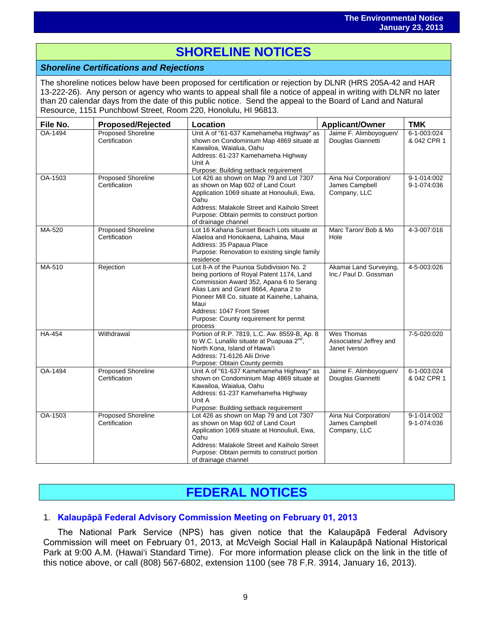# l **SHORELINE NOTICES**

## *Shoreline Certifications and Rejections*

The shoreline notices below have been proposed for certification or rejection by DLNR (HRS 205A-42 and HAR 13-222-26). Any person or agency who wants to appeal shall file a notice of appeal in writing with DLNR no later than 20 calendar days from the date of this public notice. Send the appeal to the Board of Land and Natural Resource, 1151 Punchbowl Street, Room 220, Honolulu, HI 96813.

| File No.      | <b>Proposed/Rejected</b>                   | Location                                                                                                                                                                                                                                                                                                             | <b>Applicant/Owner</b>                                  | <b>TMK</b>                 |
|---------------|--------------------------------------------|----------------------------------------------------------------------------------------------------------------------------------------------------------------------------------------------------------------------------------------------------------------------------------------------------------------------|---------------------------------------------------------|----------------------------|
| OA-1494       | Proposed Shoreline<br>Certification        | Unit A of "61-637 Kamehameha Highway" as<br>shown on Condominium Map 4869 situate at<br>Kawailoa, Waialua, Oahu<br>Address: 61-237 Kamehameha Highway<br>Unit A<br>Purpose: Building setback requirement                                                                                                             | Jaime F. Alimboyoguen/<br>Douglas Giannetti             | 6-1-003:024<br>& 042 CPR 1 |
| OA-1503       | <b>Proposed Shoreline</b><br>Certification | Lot 426 as shown on Map 79 and Lot 7307<br>as shown on Map 602 of Land Court<br>Application 1069 situate at Honouliuli, Ewa,<br>Oahu<br>Address: Malakole Street and Kaiholo Street<br>Purpose: Obtain permits to construct portion<br>of drainage channel                                                           | Aina Nui Corporation/<br>James Campbell<br>Company, LLC | 9-1-014:002<br>9-1-074:036 |
| MA-520        | Proposed Shoreline<br>Certification        | Lot 16 Kahana Sunset Beach Lots situate at<br>Alaeloa and Honokaena, Lahaina, Maui<br>Address: 35 Papaua Place<br>Purpose: Renovation to existing single family<br>residence                                                                                                                                         | Marc Taron/ Bob & Mo<br>Hole                            | 4-3-007:016                |
| MA-510        | Rejection                                  | Lot 8-A of the Puunoa Subdivision No. 2<br>being portions of Royal Patent 1174, Land<br>Commission Award 352, Apana 6 to Serang<br>Alias Lani and Grant 8664, Apana 2 to<br>Pioneer Mill Co. situate at Kainehe, Lahaina,<br>Maui<br>Address: 1047 Front Street<br>Purpose: County requirement for permit<br>process | Akamai Land Surveying,<br>Inc./ Paul D. Gossman         | 4-5-003:026                |
| <b>HA-454</b> | Withdrawal                                 | Portion of R.P. 7819, L.C. Aw. 8559-B, Ap. 8<br>to W.C. Lunalilo situate at Puapuaa 2 <sup>nd</sup> ,<br>North Kona, Island of Hawai'i<br>Address: 71-6126 Alii Drive<br>Purpose: Obtain County permits                                                                                                              | Wes Thomas<br>Associates/ Jeffrey and<br>Janet Iverson  | 7-5-020:020                |
| OA-1494       | <b>Proposed Shoreline</b><br>Certification | Unit A of "61-637 Kamehameha Highway" as<br>shown on Condominium Map 4869 situate at<br>Kawailoa, Waialua, Oahu<br>Address: 61-237 Kamehameha Highway<br>Unit A<br>Purpose: Building setback requirement                                                                                                             | Jaime F. Alimboyoguen/<br>Douglas Giannetti             | 6-1-003:024<br>& 042 CPR 1 |
| OA-1503       | Proposed Shoreline<br>Certification        | Lot 426 as shown on Map 79 and Lot 7307<br>as shown on Map 602 of Land Court<br>Application 1069 situate at Honouliuli, Ewa,<br>Oahu<br>Address: Malakole Street and Kaiholo Street<br>Purpose: Obtain permits to construct portion<br>of drainage channel                                                           | Aina Nui Corporation/<br>James Campbell<br>Company, LLC | 9-1-014:002<br>9-1-074:036 |

# **FEDERAL NOTICES**

## 1. **[Kalaupāpā Federal Advisory Commission Meeting on February 01, 2013](http://www.gpo.gov/fdsys/pkg/FR-2013-01-08/pdf/2013-00062.pdf)**

The National Park Service (NPS) has given notice that the Kalaupāpā Federal Advisory Commission will meet on February 01, 2013, at McVeigh Social Hall in Kalaupāpā National Historical Park at 9:00 A.M. (Hawai'i Standard Time). For more information please click on the link in the title of this notice above, or call (808) 567-6802, extension 1100 (see 78 F.R. 3914, January 16, 2013).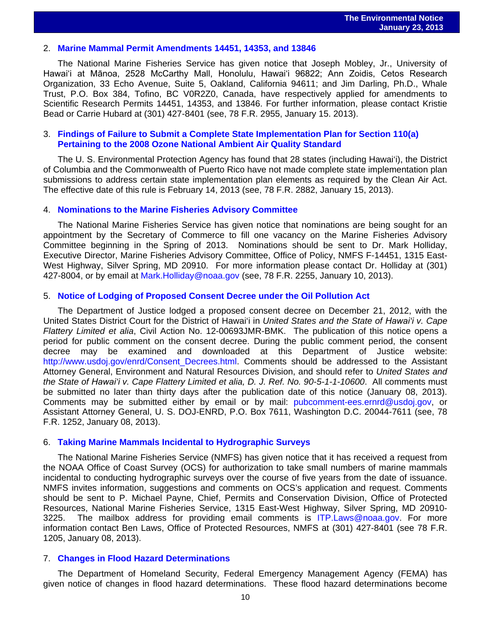# 2. **[Marine Mammal Permit Amendments 14451, 14353, and 13846](http://www.gpo.gov/fdsys/pkg/FR-2013-01-15/pdf/2013-00612.pdf)**

The National Marine Fisheries Service has given notice that Joseph Mobley, Jr., University of Hawai'i at Mānoa, 2528 McCarthy Mall, Honolulu, Hawai'i 96822; Ann Zoidis, Cetos Research Organization, 33 Echo Avenue, Suite 5, Oakland, California 94611; and Jim Darling, Ph.D., Whale Trust, P.O. Box 384, Tofino, BC V0R2Z0, Canada, have respectively applied for amendments to Scientific Research Permits 14451, 14353, and 13846. For further information, please contact Kristie Bead or Carrie Hubard at (301) 427-8401 (see, 78 F.R. 2955, January 15. 2013).

## 3. **[Findings of Failure to Submit a Complete State Implementation Plan for Section 110\(a\)](http://www.gpo.gov/fdsys/pkg/FR-2013-01-15/pdf/2013-00566.pdf)  [Pertaining to the 2008 Ozone National](http://www.gpo.gov/fdsys/pkg/FR-2013-01-15/pdf/2013-00566.pdf) Ambient Air Quality Standard**

The U. S. Environmental Protection Agency has found that 28 states (including Hawai'i), the District of Columbia and the Commonwealth of Puerto Rico have not made complete state implementation plan submissions to address certain state implementation plan elements as required by the Clean Air Act. The effective date of this rule is February 14, 2013 (see, 78 F.R. 2882, January 15, 2013).

#### 4. **Nominations [to the Marine Fisheries Advisory Committee](http://www.gpo.gov/fdsys/pkg/FR-2013-01-15/pdf/2013-00612.pdf)**

The National Marine Fisheries Service has given notice that nominations are being sought for an appointment by the Secretary of Commerce to fill one vacancy on the Marine Fisheries Advisory Committee beginning in the Spring of 2013. Nominations should be sent to Dr. Mark Holliday, Executive Director, Marine Fisheries Advisory Committee, Office of Policy, NMFS F-14451, 1315 East-West Highway, Silver Spring, MD 20910. For more information please contact Dr. Holliday at (301) 427-8004, or by email at [Mark.Holliday@noaa.gov](mailto:Mark.Holliday@noaa.gov) (see, 78 F.R. 2255, January 10, 2013).

#### 5. **[Notice of Lodging of Proposed Consent Decree under the Oil Pollution Act](http://www.gpo.gov/fdsys/pkg/FR-2013-01-08/pdf/2013-00062.pdf)**

The Department of Justice lodged a proposed consent decree on December 21, 2012, with the United States District Court for the District of Hawai'i in *United States and the State of Hawaiʻi v. Cape Flattery Limited et alia*, Civil Action No. 12-00693JMR-BMK. The publication of this notice opens a period for public comment on the consent decree. During the public comment period, the consent decree may be examined and downloaded at this Department of Justice website: [http://www.usdoj.gov/enrd/Consent\\_Decrees.html.](http://www.usdoj.gov/enrd/Consent_Decrees.html) Comments should be addressed to the Assistant Attorney General, Environment and Natural Resources Division, and should refer to *United States and the State of Hawaiʻi v. Cape Flattery Limited et alia, D. J. Ref. No. 90-5-1-1-10600*. All comments must be submitted no later than thirty days after the publication date of this notice (January 08, 2013). Comments may be submitted either by email or by mail: [pubcomment-ees.ernrd@usdoj.gov,](mailto:pubcomment-ees.ernrd@usdoj.gov) or Assistant Attorney General, U. S. DOJ-ENRD, P.O. Box 7611, Washington D.C. 20044-7611 (see, 78 F.R. 1252, January 08, 2013).

## 6. **[Taking Marine Mammals Incidental to Hydrographic Surveys](http://www.gpo.gov/fdsys/pkg/FR-2013-01-08/pdf/2013-00135.pdf)**

The National Marine Fisheries Service (NMFS) has given notice that it has received a request from the NOAA Office of Coast Survey (OCS) for authorization to take small numbers of marine mammals incidental to conducting hydrographic surveys over the course of five years from the date of issuance. NMFS invites information, suggestions and comments on OCS's application and request. Comments should be sent to P. Michael Payne, Chief, Permits and Conservation Division, Office of Protected Resources, National Marine Fisheries Service, 1315 East-West Highway, Silver Spring, MD 20910- 3225. The mailbox address for providing email comments is [ITP.Laws@noaa.gov.](mailto:ITP.Laws@noaa.gov) For more information contact Ben Laws, Office of Protected Resources, NMFS at (301) 427-8401 (see 78 F.R. 1205, January 08, 2013).

## 7. **Changes in Flood Hazard Determinations**

The Department of Homeland Security, Federal Emergency Management Agency (FEMA) has given notice of changes in flood hazard determinations. These flood hazard determinations become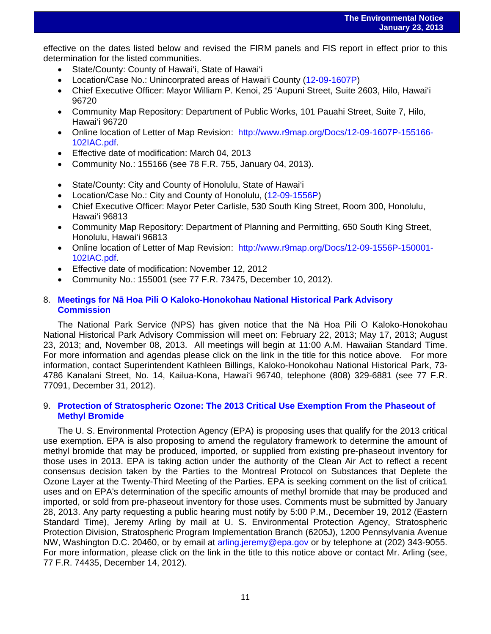effective on the dates listed below and revised the FIRM panels and FIS report in effect prior to this determination for the listed communities.

- State/County: County of Hawai'i, State of Hawai'i
- Location/Case No.: Unincorprated areas of Hawai'i County [\(12-09-1607P\)](http://www.r9map.org/Docs/12-09-1607P-155166-102IAC.pdf)
- Chief Executive Officer: Mayor William P. Kenoi, 25 'Aupuni Street, Suite 2603, Hilo, Hawai'i 96720
- Community Map Repository: Department of Public Works, 101 Pauahi Street, Suite 7, Hilo, Hawai'i 96720
- Online location of Letter of Map Revision: [http://www.r9map.org/Docs/12-09-1607P-155166-](http://www.r9map.org/Docs/12-09-1607P-155166-102IAC.pdf) [102IAC.pdf.](http://www.r9map.org/Docs/12-09-1607P-155166-102IAC.pdf)
- Effective date of modification: March 04, 2013
- Community No.: 155166 (see 78 F.R. 755, January 04, 2013).
- State/County: City and County of Honolulu, State of Hawai'i
- Location/Case No.: City and County of Honolulu, [\(12-09-1556P\)](http://www.r9map.org/Docs/12-09-1556P-150001-102IAC.pdf)
- Chief Executive Officer: Mayor Peter Carlisle, 530 South King Street, Room 300, Honolulu, Hawai'i 96813
- Community Map Repository: Department of Planning and Permitting, 650 South King Street, Honolulu, Hawai'i 96813
- Online location of Letter of Map Revision: [http://www.r9map.org/Docs/12-09-1556P-150001-](http://www.r9map.org/Docs/12-09-1556P-150001-102IAC.pdf) [102IAC.pdf.](http://www.r9map.org/Docs/12-09-1556P-150001-102IAC.pdf)
- Effective date of modification: November 12, 2012
- Community No.: 155001 (see 77 F.R. 73475, December 10, 2012).

## 8. **Meetings for Nā [Hoa Pili O Kaloko-Honokohau National Historical Park Advisory](http://www.gpo.gov/fdsys/pkg/FR-2013-01-08/pdf/2013-00062.pdf)  [Commission](http://www.gpo.gov/fdsys/pkg/FR-2013-01-08/pdf/2013-00062.pdf)**

The National Park Service (NPS) has given notice that the Nā Hoa Pili O Kaloko-Honokohau National Historical Park Advisory Commission will meet on: February 22, 2013; May 17, 2013; August 23, 2013; and, November 08, 2013. All meetings will begin at 11:00 A.M. Hawaiian Standard Time. For more information and agendas please click on the link in the title for this notice above. For more information, contact Superintendent Kathleen Billings, Kaloko-Honokohau National Historical Park, 73- 4786 Kanalani Street, No. 14, Kailua-Kona, Hawaiʻi 96740, telephone (808) 329-6881 (see 77 F.R. 77091, December 31, 2012).

## 9. **[Protection of Stratospheric Ozone: The 2013 Critical Use Exemption From the Phaseout of](http://www.gpo.gov/fdsys/pkg/FR-2013-01-08/pdf/2013-00062.pdf)  [Methyl Bromide](http://www.gpo.gov/fdsys/pkg/FR-2013-01-08/pdf/2013-00062.pdf)**

The U. S. Environmental Protection Agency (EPA) is proposing uses that qualify for the 2013 critical use exemption. EPA is also proposing to amend the regulatory framework to determine the amount of methyl bromide that may be produced, imported, or supplied from existing pre-phaseout inventory for those uses in 2013. EPA is taking action under the authority of the Clean Air Act to reflect a recent consensus decision taken by the Parties to the Montreal Protocol on Substances that Deplete the Ozone Layer at the Twenty-Third Meeting of the Parties. EPA is seeking comment on the list of critica1 uses and on EPA's determination of the specific amounts of methyl bromide that may be produced and imported, or sold from pre-phaseout inventory for those uses. Comments must be submitted by January 28, 2013. Any party requesting a public hearing must notify by 5:00 P.M., December 19, 2012 (Eastern Standard Time), Jeremy Arling by mail at U. S. Environmental Protection Agency, Stratospheric Protection Division, Stratospheric Program Implementation Branch (6205J), 1200 Pennsylvania Avenue NW, Washington D.C. 20460, or by email at [arling.jeremy@epa.gov](mailto:arling.jeremy@epa.gov) or by telephone at (202) 343-9055. For more information, please click on the link in the title to this notice above or contact Mr. Arling (see, 77 F.R. 74435, December 14, 2012).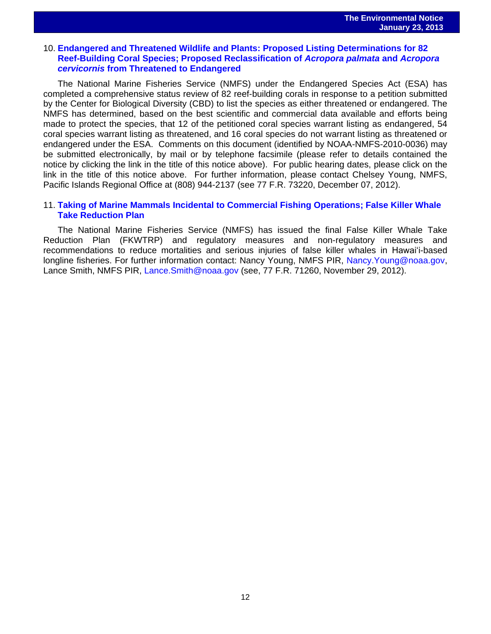# 10. **[Endangered and Threatened Wildlife and Plants: Proposed Listing Determinations for 82](http://www.gpo.gov/fdsys/pkg/FR-2012-12-07/pdf/2012-29350.pdf)  [Reef-Building Coral Species; Proposed Reclassification of](http://www.gpo.gov/fdsys/pkg/FR-2012-12-07/pdf/2012-29350.pdf)** *Acropora palmata* **and** *Acropora cervicornis* **[from Threatened to Endangered](http://www.gpo.gov/fdsys/pkg/FR-2012-12-07/pdf/2012-29350.pdf)**

The National Marine Fisheries Service (NMFS) under the Endangered Species Act (ESA) has completed a comprehensive status review of 82 reef-building corals in response to a petition submitted by the Center for Biological Diversity (CBD) to list the species as either threatened or endangered. The NMFS has determined, based on the best scientific and commercial data available and efforts being made to protect the species, that 12 of the petitioned coral species warrant listing as endangered, 54 coral species warrant listing as threatened, and 16 coral species do not warrant listing as threatened or endangered under the ESA. Comments on this document (identified by NOAA-NMFS-2010-0036) may be submitted electronically, by mail or by telephone facsimile (please refer to details contained the notice by clicking the link in the title of this notice above). For public hearing dates, please click on the link in the title of this notice above. For further information, please contact Chelsey Young, NMFS, Pacific Islands Regional Office at (808) 944-2137 (see 77 F.R. 73220, December 07, 2012).

## 11. **[Taking of Marine Mammals Incidental to Commercial Fishing Operations; False Killer Whale](http://www.gpo.gov/fdsys/pkg/FR-2012-11-29/pdf/2012-28750.pdf)  [Take Reduction Plan](http://www.gpo.gov/fdsys/pkg/FR-2012-11-29/pdf/2012-28750.pdf)**

The National Marine Fisheries Service (NMFS) has issued the final False Killer Whale Take Reduction Plan (FKWTRP) and regulatory measures and non-regulatory measures and recommendations to reduce mortalities and serious injuries of false killer whales in Hawaiʻi-based longline fisheries. For further information contact: Nancy Young, NMFS PIR, [Nancy.Young@noaa.gov,](mailto:Nancy.Young@noaa.gov) Lance Smith, NMFS PIR, [Lance.Smith@noaa.gov](mailto:Lance.Smith@noaa.gov) (see, 77 F.R. 71260, November 29, 2012).